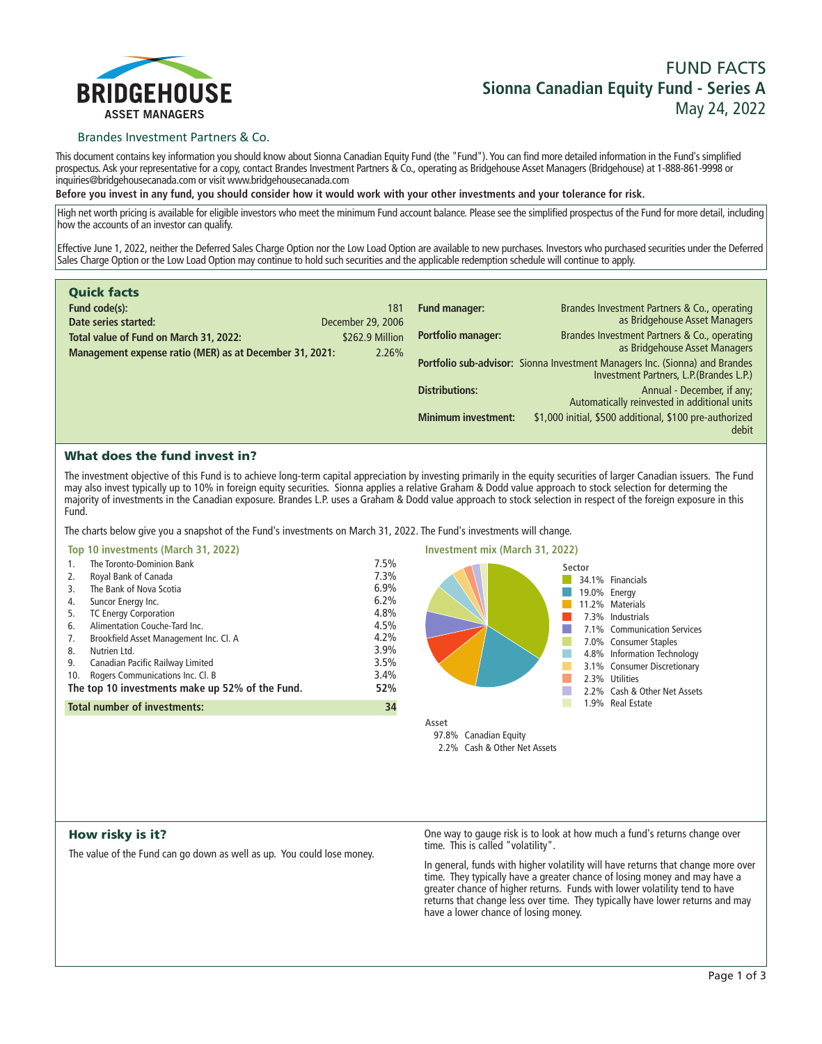

# **FUND FACTS Sionna Canadian Equity Fund - Series A May 24, 2022**

# Brandes Investment Partners & Co.

**This document contains key information you should know about Sionna Canadian Equity Fund (the "Fund"). You can find more detailed information in the Fund's simplified prospectus. Ask your representative for a copy, contact Brandes Investment Partners & Co., operating as Bridgehouse Asset Managers (Bridgehouse) at 1-888-861-9998 or inquiries@bridgehousecanada.com or visit www.bridgehousecanada.com**

**Before you invest in any fund, you should consider how it would work with your other investments and your tolerance for risk.**

**High net worth pricing is available for eligible investors who meet the minimum Fund account balance. Please see the simplified prospectus of the Fund for more detail, including how the accounts of an investor can qualify.**

**Effective June 1, 2022, neither the Deferred Sales Charge Option nor the Low Load Option are available to new purchases. Investors who purchased securities under the Deferred Sales Charge Option or the Low Load Option may continue to hold such securities and the applicable redemption schedule will continue to apply.**

| <b>Quick facts</b>                                      |                   |                            |                                                                                                                         |
|---------------------------------------------------------|-------------------|----------------------------|-------------------------------------------------------------------------------------------------------------------------|
| Fund code(s):                                           | 181               | Fund manager:              | Brandes Investment Partners & Co., operating                                                                            |
| Date series started:                                    | December 29, 2006 |                            | as Bridgehouse Asset Managers                                                                                           |
| Total value of Fund on March 31, 2022:                  | \$262.9 Million   | <b>Portfolio manager:</b>  | Brandes Investment Partners & Co., operating<br>as Bridgehouse Asset Managers                                           |
| Management expense ratio (MER) as at December 31, 2021: | 2.26%             |                            | Portfolio sub-advisor: Sionna Investment Managers Inc. (Sionna) and Brandes<br>Investment Partners, L.P. (Brandes L.P.) |
|                                                         |                   | <b>Distributions:</b>      | Annual - December, if any;<br>Automatically reinvested in additional units                                              |
|                                                         |                   | <b>Minimum investment:</b> | \$1,000 initial, \$500 additional, \$100 pre-authorized<br>debit                                                        |

# What does the fund invest in?

**The investment objective of this Fund is to achieve long-term capital appreciation by investing primarily in the equity securities of larger Canadian issuers. The Fund may also invest typically up to 10% in foreign equity securities. Sionna applies a relative Graham & Dodd value approach to stock selection for determing the majority of investments in the Canadian exposure. Brandes L.P. uses a Graham & Dodd value approach to stock selection in respect of the foreign exposure in this Fund.**

**The charts below give you a snapshot of the Fund's investments on March 31, 2022. The Fund's investments will change.**

| Top 10 investments (March 31, 2022) |  |  |  |  |
|-------------------------------------|--|--|--|--|
|-------------------------------------|--|--|--|--|

| 1.                                                     | The Toronto-Dominion Bank                 | 7.5% |  |
|--------------------------------------------------------|-------------------------------------------|------|--|
| 2.                                                     | Royal Bank of Canada                      | 7.3% |  |
| 3.                                                     | The Bank of Nova Scotia                   | 6.9% |  |
| 4.                                                     | Suncor Energy Inc.                        | 6.2% |  |
| 5.                                                     | <b>TC Energy Corporation</b>              | 4.8% |  |
| 6.                                                     | Alimentation Couche-Tard Inc.             | 4.5% |  |
| 7.                                                     | Brookfield Asset Management Inc. Cl. A    | 4.2% |  |
| 8.                                                     | Nutrien Ltd.                              | 3.9% |  |
| 9.                                                     | Canadian Pacific Railway Limited          | 3.5% |  |
| 10.                                                    | Rogers Communications Inc. Cl. B          | 3.4% |  |
| The top 10 investments make up 52% of the Fund.<br>52% |                                           |      |  |
|                                                        | <b>Total number of investments:</b><br>34 |      |  |
|                                                        |                                           |      |  |



# How risky is it?

**The value of the Fund can go down as well as up. You could lose money.**

**One way to gauge risk is to look at how much a fund's returns change over time. This is called "volatility".**

**In general, funds with higher volatility will have returns that change more over time. They typically have a greater chance of losing money and may have a greater chance of higher returns. Funds with lower volatility tend to have**  returns that change less over time. They typically have lower returns and may **have a lower chance of losing money.**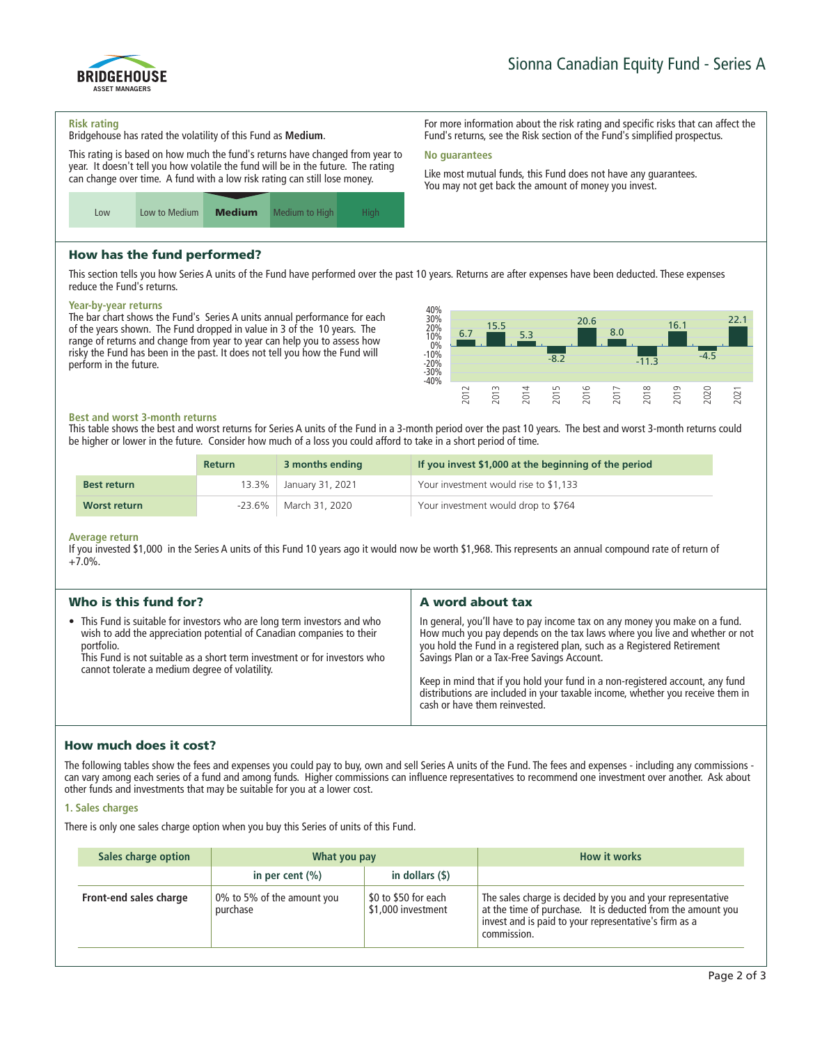

#### **Risk rating**

**Bridgehouse has rated the volatility of this Fund as Medium.**

**This rating is based on how much the fund's returns have changed from year to year. It doesn't tell you how volatile the fund will be in the future. The rating can change over time. A fund with a low risk rating can still lose money.**



# How has the fund performed?

**This section tells you how Series A units of the Fund have performed over the past 10 years. Returns are after expenses have been deducted. These expenses reduce the Fund's returns.**

**No guarantees**

#### **Year-by-year returns**

**The bar chart shows the Fund's Series A units annual performance for each of the years shown. The Fund dropped in value in 3 of the 10 years. The range of returns and change from year to year can help you to assess how risky the Fund has been in the past. It does not tell you how the Fund will perform in the future.**



**For more information about the risk rating and specific risks that can affect the Fund's returns, see the Risk section of the Fund's simplified prospectus.**

**Like most mutual funds, this Fund does not have any guarantees. You may not get back the amount of money you invest.**

#### **Best and worst 3-month returns**

**This table shows the best and worst returns for Series A units of the Fund in a 3-month period over the past 10 years. The best and worst 3-month returns could be higher or lower in the future. Consider how much of a loss you could afford to take in a short period of time.**

|                    | Return    | 3 months ending        | If you invest \$1,000 at the beginning of the period |
|--------------------|-----------|------------------------|------------------------------------------------------|
| <b>Best return</b> |           | 13.3% January 31, 2021 | Your investment would rise to \$1,133                |
| Worst return       | $-23.6\%$ | March 31, 2020         | Your investment would drop to \$764                  |

#### **Average return**

**If you invested \$1,000 in the Series A units of this Fund 10 years ago it would now be worth \$1,968. This represents an annual compound rate of return of +7.0%.**

| Who is this fund for?                                                                                                                                                                                                                                                                           | A word about tax                                                                                                                                                                                                                                                                                                                                                                                                                                                                       |
|-------------------------------------------------------------------------------------------------------------------------------------------------------------------------------------------------------------------------------------------------------------------------------------------------|----------------------------------------------------------------------------------------------------------------------------------------------------------------------------------------------------------------------------------------------------------------------------------------------------------------------------------------------------------------------------------------------------------------------------------------------------------------------------------------|
| • This Fund is suitable for investors who are long term investors and who<br>wish to add the appreciation potential of Canadian companies to their<br>portfolio.<br>This Fund is not suitable as a short term investment or for investors who<br>cannot tolerate a medium degree of volatility. | In general, you'll have to pay income tax on any money you make on a fund.<br>How much you pay depends on the tax laws where you live and whether or not<br>you hold the Fund in a registered plan, such as a Registered Retirement<br>Savings Plan or a Tax-Free Savings Account.<br>Keep in mind that if you hold your fund in a non-registered account, any fund<br>distributions are included in your taxable income, whether you receive them in<br>cash or have them reinvested. |

# How much does it cost?

**The following tables show the fees and expenses you could pay to buy, own and sell Series A units of the Fund. The fees and expenses - including any commissions can vary among each series of a fund and among funds. Higher commissions can influence representatives to recommend one investment over another. Ask about other funds and investments that may be suitable for you at a lower cost.**

#### **1. Sales charges**

**There is only one sales charge option when you buy this Series of units of this Fund.**

| Sales charge option    | What you pay                           |                                            | <b>How it works</b>                                                                                                                                                                               |
|------------------------|----------------------------------------|--------------------------------------------|---------------------------------------------------------------------------------------------------------------------------------------------------------------------------------------------------|
|                        | in per cent $(\% )$                    | in dollars $($ \$ $)$                      |                                                                                                                                                                                                   |
| Front-end sales charge | 0% to 5% of the amount you<br>purchase | \$0 to \$50 for each<br>\$1,000 investment | The sales charge is decided by you and your representative<br>at the time of purchase. It is deducted from the amount you<br>invest and is paid to your representative's firm as a<br>commission. |